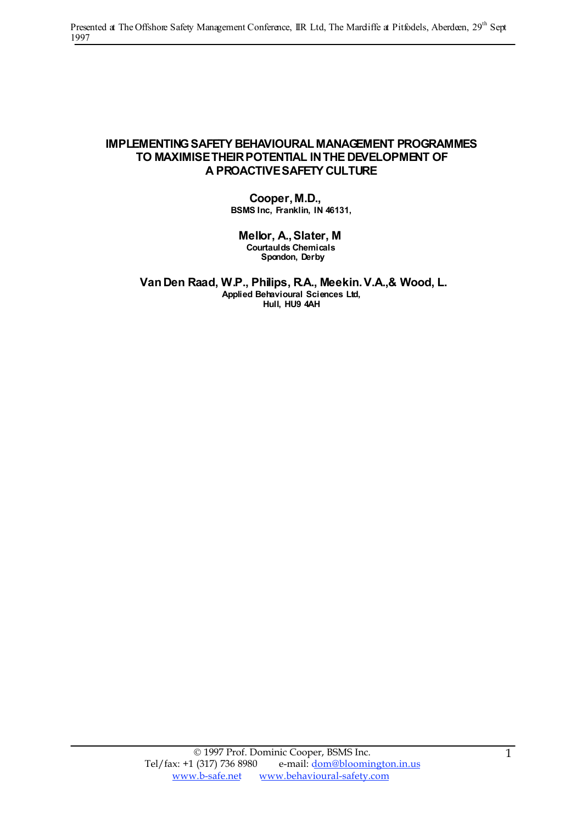#### **IMPLEMENTINGSAFETY BEHAVIOURAL MANAGEMENT PROGRAMMES TO MAXIMISETHEIRPOTENTIAL INTHE DEVELOPMENT OF A PROACTIVESAFETY CULTURE**

**Cooper,M.D., BSMS Inc, Franklin, IN 46131,**

**Mellor, A.,Slater, M Courtaulds Chemicals Spondon, Derby**

**VanDen Raad, W.P., Philips, R.A., Meekin.V.A.,& Wood, L. Applied Behavioural Sciences Ltd, Hull, HU9 4AH**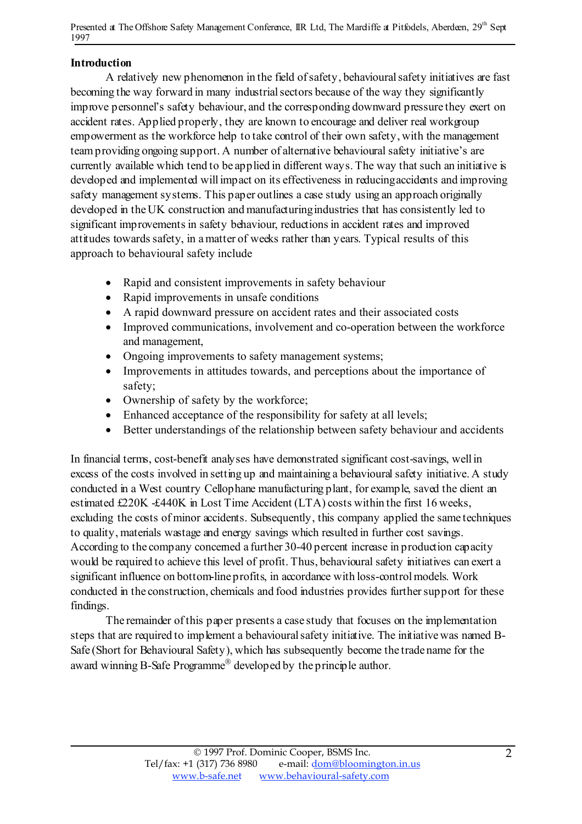### Introduction

A relatively new phenomenon in the field ofsafety, behaviouralsafety initiatives are fast becoming the way forward in many industrialsectors because of the way they significantly improve personnel's safety behaviour, and the corresponding downward pressure they exert on accident rates. Applied properly, they are known to encourage and deliver real workgroup empowerment as the workforce help to take control of their own safety, with the management teamproviding ongoing support. A number of alternative behavioural safety initiative's are currently available which tend to be applied in different ways. The way that such an initiative is developed and implemented willimpact on its effectiveness in reducingaccidents and improving safety management systems. This paper outlines a case study using an approach originally developed in the UK construction and manufacturing industries that has consistently led to significant improvements in safety behaviour, reductions in accident rates and improved attitudes towards safety, in a matter of weeks rather than years. Typical results of this approach to behavioural safety include

- Rapid and consistent improvements in safety behaviour
- Rapid improvements in unsafe conditions
- A rapid downward pressure on accident rates and their associated costs
- Improved communications, involvement and co-operation between the workforce and management,
- Ongoing improvements to safety management systems;
- Improvements in attitudes towards, and perceptions about the importance of safety;
- Ownership of safety by the workforce;
- Enhanced acceptance of the responsibility for safety at all levels;
- Better understandings of the relationship between safety behaviour and accidents

In financial terms, cost-benefit analyses have demonstrated significant cost-savings, wellin excess of the costs involved in setting up and maintaining a behavioural safety initiative. A study conducted in a West country Cellophane manufacturing plant, for example, saved the client an estimated £220K -£440K in Lost Time Accident (LTA) costs within the first 16 weeks, excluding the costs of minor accidents. Subsequently, this company applied the same techniques to quality, materials wastage and energy savings which resulted in further cost savings. According to the company concerned a further 30-40 percent increase in production capacity would be required to achieve this level of profit. Thus, behavioural safety initiatives can exert a significant influence on bottom-line profits, in accordance with loss-control models. Work conducted in the construction, chemicals and food industries provides further support for these findings.

The remainder of this paper presents a case study that focuses on the implementation steps that are required to implement a behavioural safety initiative. The initiative was named B-Safe (Short for Behavioural Safety), which has subsequently become the trade name for the award winning B-Safe Programme<sup>®</sup> developed by the principle author.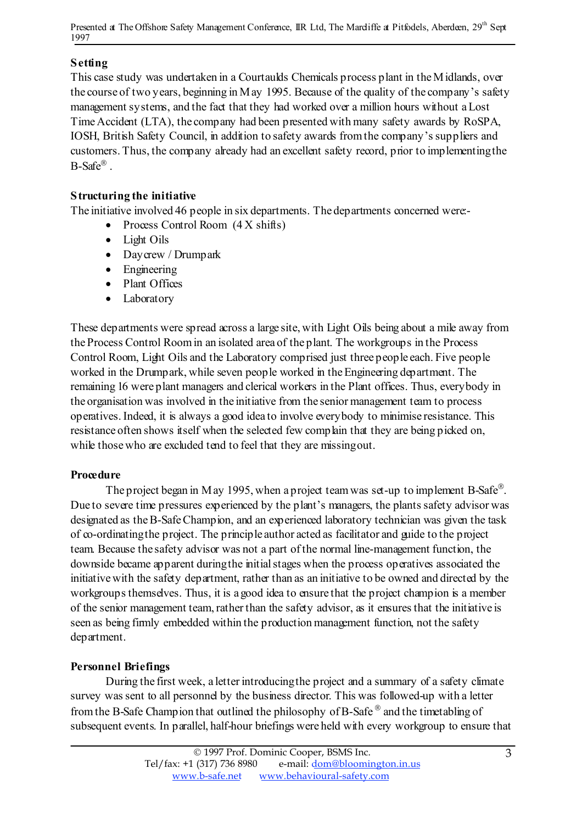## Setting

This case study was undertaken in a Courtaulds Chemicals process plant in the Midlands, over the course of two years, beginning in May 1995. Because of the quality of the company's safety management systems, and the fact that they had worked over a million hours without aLost TimeAccident (LTA), the company had been presented with many safety awards by RoSPA, IOSH, British Safety Council, in addition to safety awards from the company's suppliers and customers. Thus, the company already had an excellent safety record, prior to implementingthe  $B$ -Safe®.

## Structuring the initiative

The initiative involved 46 people in six departments. The departments concerned were:-

- Process Control Room (4 X shifts)
- Light Oils
- Daycrew / Drumpark
- Engineering
- Plant Offices
- Laboratory

These departments were spread across a large site, with Light Oils being about a mile away from the Process Control Roomin an isolated area of the plant. The workgroups in the Process Control Room, Light Oils and the Laboratory comprised just three people each. Five people worked in the Drumpark, while seven people worked in the Engineering department. The remaining 16 were plant managers and clerical workers in the Plant offices. Thus, everybody in the organisation was involved in the initiative from the senior management team to process operatives. Indeed, it is always a good idea to involve everybody to minimise resistance. This resistance often shows itself when the selected few complain that they are being picked on, while thosewho are excluded tend to feel that they are missingout.

### **Procedure**

The project began in May 1995, when a project team was set-up to implement B-Safe<sup>®</sup>. Due to severe time pressures experienced by the plant's managers, the plants safety advisor was designated as theB-SafeChampion, and an experienced laboratory technician was given the task of  $\infty$ -ordinating the project. The principle author acted as facilitator and guide to the project team. Because the safety advisor was not a part of the normal line-management function, the downside became apparent during the initial stages when the process operatives associated the initiative with the safety department, rather than as an initiative to be owned and directed by the workgroups themselves. Thus, it is a good idea to ensure that the project champion is a member of the senior management team, rather than the safety advisor, as it ensuresthat the initiative is seen as being firmly embedded within the production management function, not the safety department.

### Personnel Briefings

During the first week, a letter introducing the project and a summary of a safety climate survey wassent to all personnel by the business director. This was followed-up with a letter from the B-Safe Champion that outlined the philosophy of B-Safe  $^{\circledR}$  and the timetabling of subsequent events. In parallel, half-hour briefings were held with every workgroup to ensure that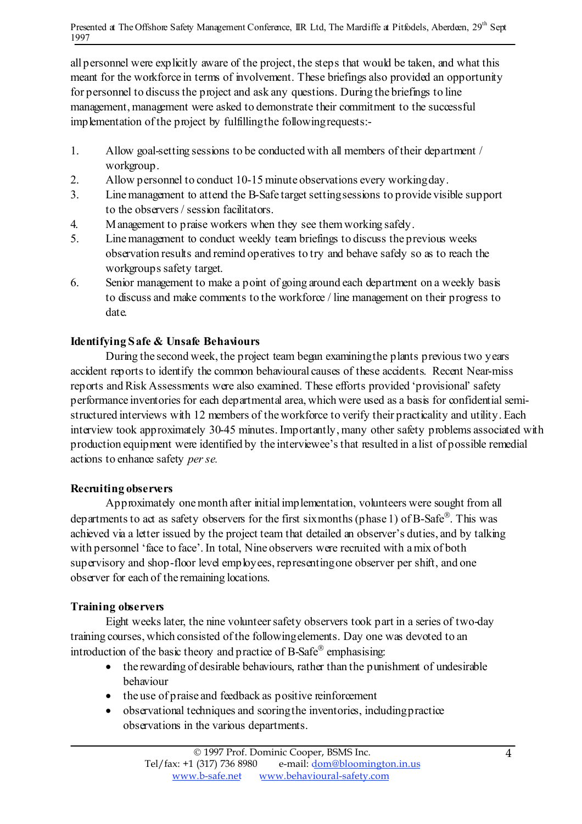all personnel were explicitly aware of the project, the steps that would be taken, and what this meant for the workforce in terms of involvement. These briefings also provided an opportunity for personnel to discuss the project and ask any questions. During the briefings to line management, management were asked to demonstrate their commitment to the successful implementation of the project by fulfillingthe followingrequests:-

- 1. Allow goal-setting sessions to be conducted with all members of their department / workgroup.
- 2. Allow personnel to conduct 10-15 minute observations every workingday.
- 3. Linemanagement to attend the B-Safe target settingsessions to provide visible support to the observers/ session facilitators.
- 4. Management to praise workers when they see themworking safely.
- 5. Linemanagement to conduct weekly team briefings to discuss the previous weeks observation results and remind operatives to try and behave safely so as to reach the workgroups safety target.
- 6. Senior management to make a point of going around each department on a weekly basis to discuss and make comments to the workforce / line management on their progress to date.

# Identifying Safe & Unsafe Behaviours

During the second week, the project team began examiningthe plants previoustwo years accident reports to identify the common behavioural causes of these accidents. Recent Near-miss reports and Risk Assessments were also examined. These efforts provided 'provisional' safety performance inventories for each departmental area, which were used as a basis for confidential semistructured interviews with 12 members of theworkforce to verify their practicality and utility. Each interview took approximately 30-45 minutes. Importantly, many other safety problems associated with production equipment were identified by the interviewee'sthat resulted in a list of possible remedial actions to enhance safety *perse.*

# Recruiting observers

Approximately onemonth after initialimplementation, volunteers were sought from all departments to act as safety observers for the first sixmonths (phase 1) of B-Safe<sup>®</sup>. This was achieved via a letter issued by the project team that detailed an observer's duties, and by talking with personnel 'face to face'. In total, Nine observers were recruited with a mix of both supervisory and shop-floor level employees, representingone observer per shift, and one observer for each of the remaining locations.

# Training observers

Eight weeks later, the nine volunteer safety observers took part in a series of two-day training courses, which consisted of the followingelements. Day one was devoted to an introduction of the basic theory and practice of  $B\text{-}Safe^{\circledast}$  emphasising:

- the rewarding of desirable behaviours, rather than the punishment of undesirable behaviour
- the use of praise and feedback as positive reinforcement
- observational techniques and scoringthe inventories, includingpractice observations in the various departments.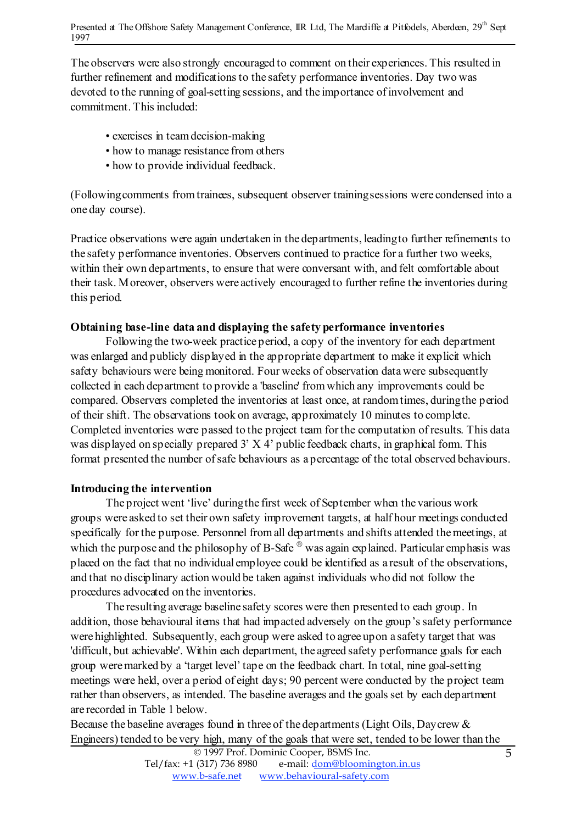The observers were also strongly encouraged to comment on their experiences. This resulted in further refinement and modifications to the safety performance inventories. Day two was devoted to the running of goal-setting sessions, and the importance of involvement and commitment. This included:

- exercises in teamdecision-making
- how to manage resistance from others
- how to provide individual feedback.

(Followingcomments fromtrainees, subsequent observer trainingsessions were condensed into a one day course).

Practice observations were again undertaken in the departments, leadingto further refinements to the safety performance inventories. Observers continued to practice for a further two weeks, within their own departments, to ensure that were conversant with, and felt comfortable about their task. Moreover, observers were actively encouraged to further refine the inventories during this period.

### Obtaining base-line data and displaying the safety performance inventories

Following the two-week practice period, a copy of the inventory for each department was enlarged and publicly displayed in the appropriate department to make it explicit which safety behaviours were being monitored. Four weeks of observation datawere subsequently collected in each department to provide a 'baseline' fromwhich any improvements could be compared. Observers completed the inventories at least once, at randomtimes, duringthe period of their shift. The observations took on average, approximately 10 minutes to complete. Completed inventories were passed to the project team for the computation of results. This data was displayed on specially prepared 3' X 4' public feedback charts, in graphical form. This format presented the number ofsafe behaviours as a percentage of the total observed behaviours.

### Introducing the intervention

The project went 'live' duringthe first week of September when the various work groups were asked to set their own safety improvement targets, at half hour meetings conducted specifically for the purpose. Personnel fromall departments and shifts attended themeetings, at which the purpose and the philosophy of B-Safe  $\mathcal{O}_N$  was again explained. Particular emphasis was placed on the fact that no individual employee could be identified as a result of the observations, and that no disciplinary action would be taken against individuals who did not follow the procedures advocated on the inventories.

The resulting average baseline safety scores were then presented to each group. In addition, those behavioural items that had impacted adversely on the group's safety performance were highlighted. Subsequently, each group were asked to agree upon a safety target that was 'difficult, but achievable'. Within each department, the agreed safety performance goals for each group weremarked by a 'target level' tape on the feedback chart. In total, nine goal-setting meetings were held, over a period of eight days; 90 percent were conducted by the project team rather than observers, as intended. The baseline averages and the goals set by each department are recorded in Table 1 below.

Because the baseline averages found in three of the departments (Light Oils, Daycrew & Engineers) tended to be very high, many of the goals that were set, tended to be lower than the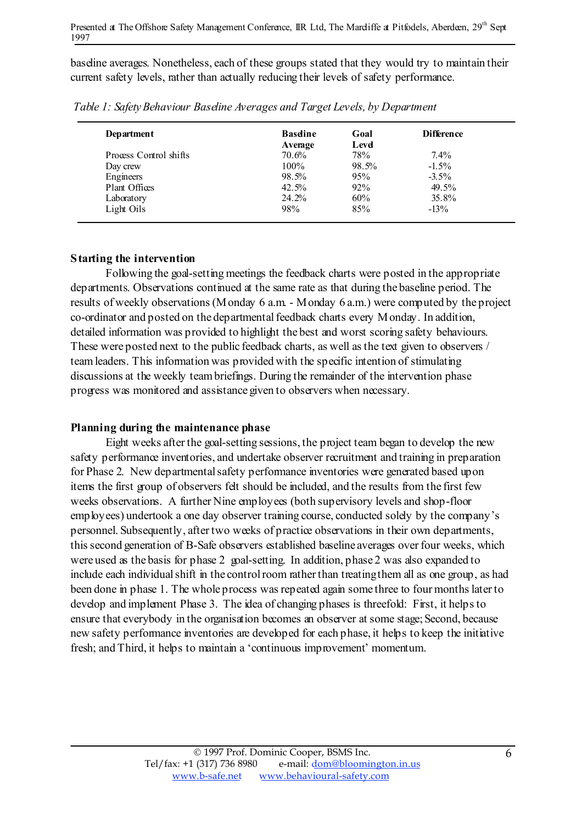baseline averages. Nonetheless, each of these groups stated that they would try to maintain their current safety levels, rather than actually reducing their levels of safety performance.

| Department             | <b>Basdine</b>   | Goal<br>Level | <b>Difference</b> |
|------------------------|------------------|---------------|-------------------|
| Process Control shifts | Average<br>70.6% | 78%           | $7.4\%$           |
| Day crew               | $100\%$          | 98.5%         | $-1.5\%$          |
| Engineers              | 98.5%            | 95%           | $-3.5\%$          |
| Plant Offices          | 42.5%            | 92%           | 49.5%             |
| Laboratory             | 24.2%            | 60%           | 35.8%             |
| Light Oils             | 98%              | 85%           | $-13\%$           |

*Table 1: SafetyBehaviour Baseline Averages and Target Levels, by Department*

### Starting the intervention

Following the goal-setting meetings the feedback charts were posted in the appropriate departments. Observations continued at the same rate as that during the baseline period. The results of weekly observations(Monday 6 a.m. - Monday 6 a.m.) were computed by the project co-ordinator and posted on the departmental feedback charts every Monday. In addition, detailed information was provided to highlight the best and worst scoring safety behaviours. These were posted next to the public feedback charts, as well asthe text given to observers / teamleaders. This information was provided with the specific intention of stimulating discussions at the weekly teambriefings. During the remainder of the intervention phase progress was monitored and assistance given to observers when necessary.

### Planning during the maintenance phase

Eight weeks after the goal-setting sessions, the project team began to develop the new safety performance inventories, and undertake observer recruitment and training in preparation for Phase 2. New departmentalsafety performance inventories were generated based upon items the first group of observers felt should be included, and the results from the first few weeks observations. A further Nine employees (both supervisory levels and shop-floor employees) undertook a one day observer training course, conducted solely by the company's personnel. Subsequently, after two weeks of practice observations in their own departments, thissecond generation of B-Safe observers established baseline averages over four weeks, which were used as the basis for phase 2 goal-setting. In addition, phase 2 was also expanded to include each individualshift in the controlroom rather than treatingthem all as one group, as had been done in phase 1. The whole process was repeated again some three to four months later to develop and implement Phase 3. The idea of changing phases is threefold: First, it helps to ensure that everybody in the organisation becomes an observer at some stage; Second, because new safety performance inventories are developed for each phase, it helps to keep the initiative fresh; and Third, it helps to maintain a 'continuous improvement' momentum.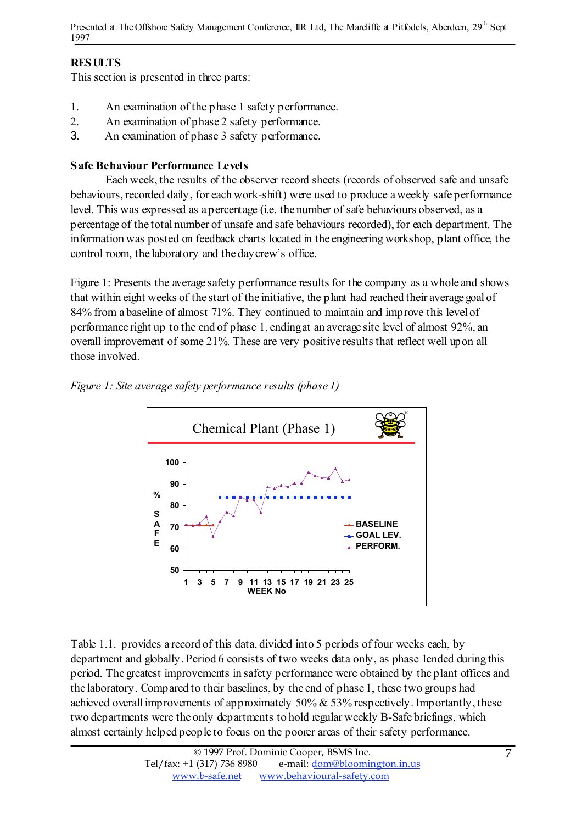# RESULTS

Thissection is presented in three parts:

- 1. An examination of the phase 1 safety performance.
- 2. An examination of phase 2 safety performance.
- 3. An examination of phase 3 safety performance.

# Safe Behaviour Performance Levels

Each week, the results of the observer record sheets (records of observed safe and unsafe behaviours, recorded daily, for each work-shift) were used to produce aweekly safe performance level. This was expressed as a percentage (i.e. the number of safe behaviours observed, as a percentage of the total number of unsafe and safe behaviours recorded), for each department. The information was posted on feedback charts located in the engineering workshop, plant office, the control room, the laboratory and the daycrew's office.

Figure 1: Presents the average safety performance results for the company as a whole and shows that within eight weeks of the start of the initiative, the plant had reached their average goal of 84% from a baseline of almost 71%. They continued to maintain and improve this level of performance right up to the end of phase 1, endingat an average site level of almost 92%, an overall improvement of some 21%. These are very positive results that reflect well upon all those involved.





Table 1.1. provides a record of this data, divided into 5 periods of four weeks each, by department and globally. Period 6 consists of two weeks data only, as phase 1ended during this period. The greatest improvements in safety performance were obtained by the plant offices and the laboratory. Compared to their baselines, by the end of phase 1, these two groups had achieved overall improvements of approximately 50% & 53% respectively. Importantly, these two departments were the only departments to hold regular weekly B-Safe briefings, which almost certainly helped people to focus on the poorer areas of their safety performance.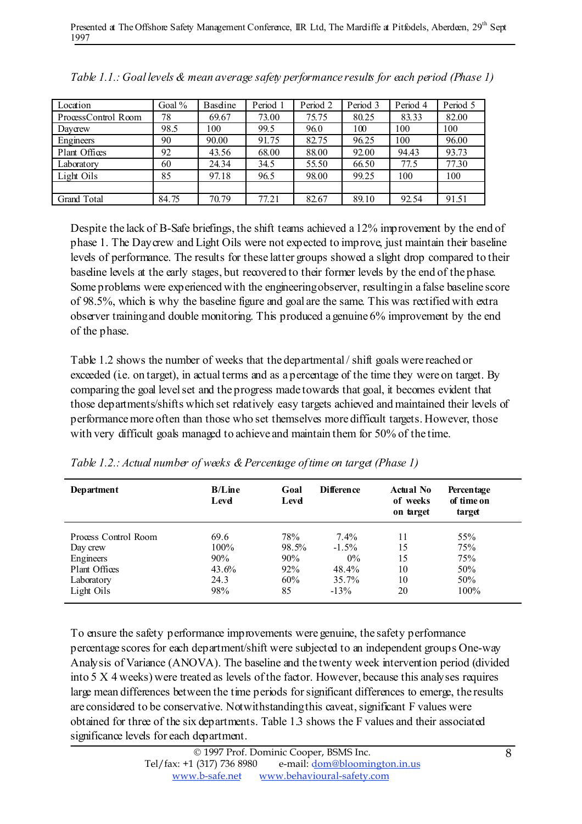| Location            | Goal $%$ | <b>Baseline</b> | Period 1 | Period 2 | Period 3 | Period 4 | Period 5 |
|---------------------|----------|-----------------|----------|----------|----------|----------|----------|
| ProcessControl Room | 78       | 69.67           | 73.00    | 75.75    | 80.25    | 83.33    | 82.00    |
| Davcrew             | 98.5     | 100             | 99.5     | 96.0     | 100      | 100      | 100      |
| Engineers           | 90       | 90.00           | 91.75    | 82.75    | 96.25    | 100      | 96.00    |
| Plant Offices       | 92       | 43.56           | 68.00    | 88.00    | 92.00    | 94.43    | 93.73    |
| Laboratory          | 60       | 24.34           | 34.5     | 55.50    | 66.50    | 77.5     | 77.30    |
| Light Oils          | 85       | 97.18           | 96.5     | 98.00    | 99.25    | 100      | 100      |
|                     |          |                 |          |          |          |          |          |
| Grand Total         | 84.75    | 70.79           | 77.21    | 82.67    | 89.10    | 92.54    | 91.51    |

| Table 1.1.: Goal levels & mean average safety performance results for each period (Phase 1) |  |  |
|---------------------------------------------------------------------------------------------|--|--|
|---------------------------------------------------------------------------------------------|--|--|

Despite the lack of B-Safe briefings, the shift teams achieved a 12% improvement by the end of phase 1. The Daycrew and Light Oils were not expected to improve, just maintain their baseline levels of performance. The results for these latter groups showed a slight drop compared to their baseline levels at the early stages, but recovered to their former levels by the end of the phase. Some problems were experienced with the engineeringobserver, resultingin a false baseline score of 98.5%, which is why the baseline figure and goal are the same. This was rectified with extra observer trainingand double monitoring. This produced a genuine 6% improvement by the end of the phase.

Table 1.2 shows the number of weeks that the departmental/ shift goals were reached or exceeded (i.e. on target), in actual terms and as a percentage of the time they were on target. By comparing the goal levelset and the progress made towards that goal, it becomes evident that those departments/shifts which set relatively easy targets achieved and maintained their levels of performance more often than those who set themselves more difficult targets. However, those with very difficult goals managed to achieve and maintain them for 50% of the time.

| Department           | $B/L$ ine<br>Level | Goal<br>Level | Difference | Actual No<br>of weeks<br>on target | Percentage<br>of time on<br>target |
|----------------------|--------------------|---------------|------------|------------------------------------|------------------------------------|
| Process Control Room | 69.6               | 78%           | $7.4\%$    | 11                                 | 55%                                |
| Day crew             | $100\%$            | 98.5%         | $-1.5\%$   | 15                                 | 75%                                |
| Engineers            | 90%                | 90%           | $0\%$      | 15                                 | 75%                                |
| Plant Offices        | 43.6%              | 92%           | 48.4%      | 10                                 | 50%                                |
| Laboratory           | 24.3               | 60%           | $35.7\%$   | 10                                 | 50%                                |
| Light Oils           | 98%                | 85            | $-13%$     | 20                                 | 100%                               |

*Table 1.2.: Actual number of weeks &Percentage oftime on target (Phase 1)*

To ensure the safety performance improvements were genuine, the safety performance percentage scores for each department/shift were subjected to an independent groups One-way Analysis of Variance (ANOVA). The baseline and the twenty week intervention period (divided into 5 X 4 weeks) were treated as levels of the factor. However, because this analyses requires large mean differences between the time periods forsignificant differences to emerge, the results are considered to be conservative. Notwithstandingthis caveat,significant F values were obtained for three of the six departments. Table 1.3 shows the F values and their associated significance levels for each department.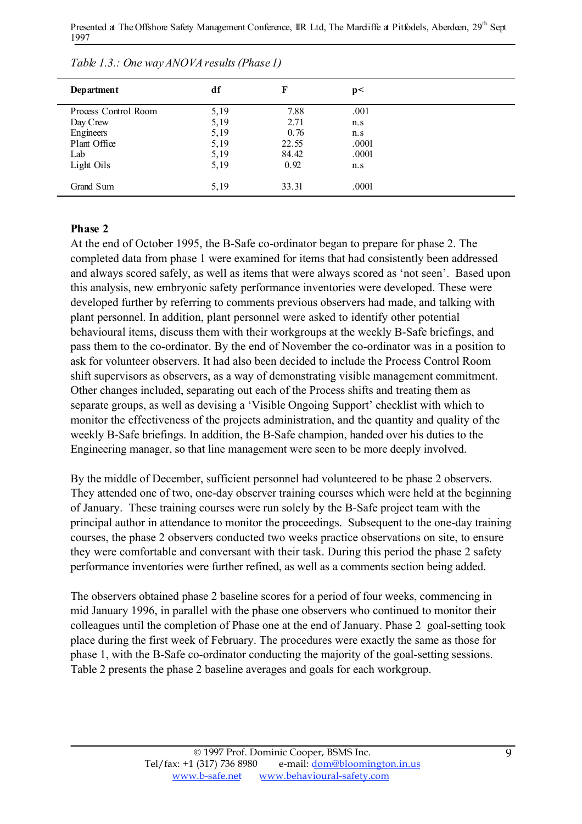| Department           | df   | F     | p<    |  |
|----------------------|------|-------|-------|--|
| Process Control Room | 5,19 | 7.88  | .001  |  |
| Day Crew             | 5,19 | 2.71  | n.s   |  |
| Engineers            | 5,19 | 0.76  | n.s   |  |
| Plant Office         | 5,19 | 22.55 | .0001 |  |
| Lab                  | 5,19 | 84.42 | .0001 |  |
| Light Oils           | 5,19 | 0.92  | n.s   |  |
| Grand Sum            | 5,19 | 33.31 | .0001 |  |

| Table 1.3.: One way ANOVA results (Phase 1) |  |
|---------------------------------------------|--|
|                                             |  |

#### Phase 2

At the end of October 1995, the B-Safe co-ordinator began to prepare for phase 2. The completed data from phase 1 were examined for items that had consistently been addressed and always scored safely, as well as items that were always scored as 'not seen'. Based upon this analysis, new embryonic safety performance inventories were developed. These were developed further by referring to comments previous observers had made, and talking with plant personnel. In addition, plant personnel were asked to identify other potential behavioural items, discuss them with their workgroups at the weekly B-Safe briefings, and pass them to the co-ordinator. By the end of November the co-ordinator was in a position to ask for volunteer observers. It had also been decided to include the Process Control Room shift supervisors as observers, as a way of demonstrating visible management commitment. Other changes included, separating out each of the Process shifts and treating them as separate groups, as well as devising a 'Visible Ongoing Support' checklist with which to monitor the effectiveness of the projects administration, and the quantity and quality of the weekly B-Safe briefings. In addition, the B-Safe champion, handed over his duties to the Engineering manager, so that line management were seen to be more deeply involved.

By the middle of December, sufficient personnel had volunteered to be phase 2 observers. They attended one of two, one-day observer training courses which were held at the beginning of January. These training courses were run solely by the B-Safe project team with the principal author in attendance to monitor the proceedings. Subsequent to the one-day training courses, the phase 2 observers conducted two weeks practice observations on site, to ensure they were comfortable and conversant with their task. During this period the phase 2 safety performance inventories were further refined, as well as a comments section being added.

The observers obtained phase 2 baseline scores for a period of four weeks, commencing in mid January 1996, in parallel with the phase one observers who continued to monitor their colleagues until the completion of Phase one at the end of January. Phase 2 goal-setting took place during the first week of February. The procedures were exactly the same as those for phase 1, with the B-Safe co-ordinator conducting the majority of the goal-setting sessions. Table 2 presents the phase 2 baseline averages and goals for each workgroup.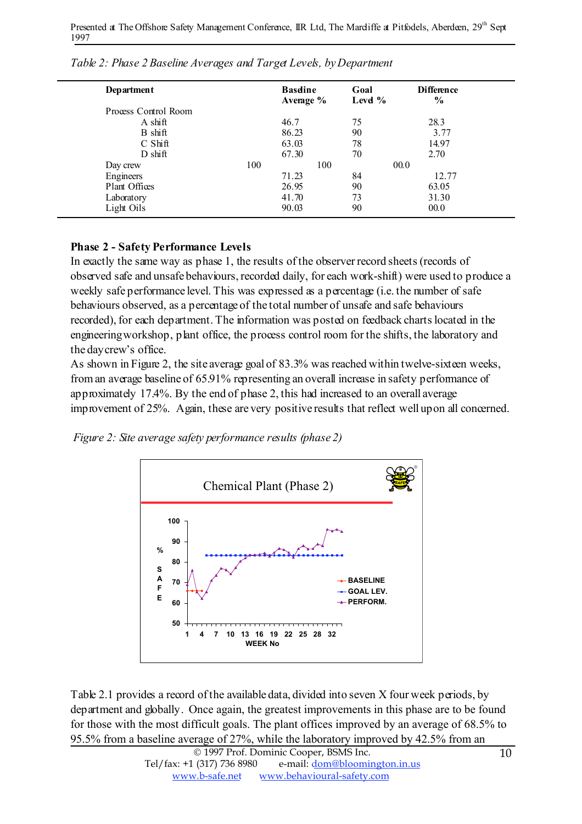| Department           |     | <b>Basdine</b><br>Average $%$ | Goal<br>Level $%$ | <b>Difference</b><br>$\frac{6}{9}$ |  |
|----------------------|-----|-------------------------------|-------------------|------------------------------------|--|
| Process Control Room |     |                               |                   |                                    |  |
| $A \, \text{shift}$  |     | 46.7                          | 75                | 28.3                               |  |
| B shift              |     | 86.23                         | 90                | 3.77                               |  |
| $C$ Shift            |     | 63.03                         | 78                | 14.97                              |  |
| $D \, \text{shift}$  |     | 67.30                         | 70                | 2.70                               |  |
| Day crew             | 100 | 100                           | 00.0              |                                    |  |
| Engineers            |     | 71.23                         | 84                | 12.77                              |  |
| Plant Offices        |     | 26.95                         | 90                | 63.05                              |  |
| Laboratory           |     | 41.70                         | 73                | 31.30                              |  |
| Light Oils           |     | 90.03                         | 90                | 00.0                               |  |

*Table 2: Phase 2 Baseline Averages and Target Levels, byDepartment*

### Phase 2 - Safety Performance Levels

In exactly the same way as phase 1, the results of the observer record sheets(records of observed safe and unsafe behaviours, recorded daily, for each work-shift) were used to produce a weekly safe performance level. This was expressed as a percentage (i.e. the number of safe behaviours observed, as a percentage of the total number of unsafe and safe behaviours recorded), for each department. The information was posted on feedback charts located in the engineeringworkshop, plant office, the process control room for the shifts, the laboratory and the daycrew's office.

As shown in Figure 2, the site average goal of 83.3% was reached within twelve-sixteen weeks, froman average baseline of 65.91% representing an overall increase in safety performance of approximately 17.4%. By the end of phase 2, this had increased to an overall average improvement of 25%. Again, these are very positive results that reflect well upon all concerned.

*Figure 2: Site average safety performance results (phase 2)*



Table 2.1 provides a record of the available data, divided into seven X four week periods, by department and globally. Once again, the greatest improvements in this phase are to be found for those with the most difficult goals. The plant offices improved by an average of 68.5% to 95.5% from a baseline average of 27%, while the laboratory improved by 42.5% from an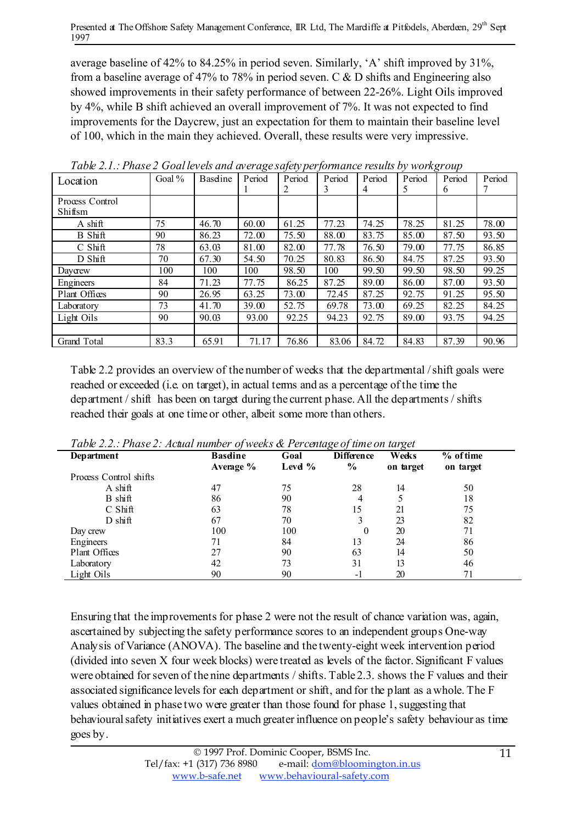average baseline of 42% to 84.25% in period seven. Similarly, 'A' shift improved by 31%, from a baseline average of 47% to 78% in period seven. C & D shifts and Engineering also showed improvements in their safety performance of between 22-26%. Light Oils improved by 4%, while B shift achieved an overall improvement of 7%. It was not expected to find improvements for the Daycrew, just an expectation for them to maintain their baseline level of 100, which in the main they achieved. Overall, these results were very impressive.

| Location                   | Goal $%$ | Baseline | ັ<br>Period | $\sim$ 1<br>Period<br>2 | Period<br>3 | Period<br>4 | Period<br>5. | ັ<br>Period<br>6 | Period |
|----------------------------|----------|----------|-------------|-------------------------|-------------|-------------|--------------|------------------|--------|
| Process Control<br>Shiftsm |          |          |             |                         |             |             |              |                  |        |
| A shift                    | 75       | 46.70    | 60.00       | 61.25                   | 77.23       | 74.25       | 78.25        | 81.25            | 78.00  |
| <b>B</b> Shift             | 90       | 86.23    | 72.00       | 75.50                   | 88.00       | 83.75       | 85.00        | 87.50            | 93.50  |
| $C$ Shift                  | 78       | 63.03    | 81.00       | 82.00                   | 77.78       | 76.50       | 79.00        | 77.75            | 86.85  |
| D Shift                    | 70       | 67.30    | 54.50       | 70.25                   | 80.83       | 86.50       | 84.75        | 87.25            | 93.50  |
| Davcrew                    | 100      | 100      | 100         | 98.50                   | 100         | 99.50       | 99.50        | 98.50            | 99.25  |
| Engineers                  | 84       | 71.23    | 77.75       | 86.25                   | 87.25       | 89.00       | 86.00        | 87.00            | 93.50  |
| Plant Offices              | 90       | 26.95    | 63.25       | 73.00                   | 72.45       | 87.25       | 92.75        | 91.25            | 95.50  |
| Laboratory                 | 73       | 41.70    | 39.00       | 52.75                   | 69.78       | 73.00       | 69.25        | 82.25            | 84.25  |
| Light Oils                 | 90       | 90.03    | 93.00       | 92.25                   | 94.23       | 92.75       | 89.00        | 93.75            | 94.25  |
|                            |          |          |             |                         |             |             |              |                  |        |
| Grand Total                | 83.3     | 65.91    | 71.17       | 76.86                   | 83.06       | 84.72       | 84.83        | 87.39            | 90.96  |

*Table 2.1.: Phase 2 Goallevels and average safety performance results by workgroup*

Table 2.2 provides an overview of the number of weeks that the departmental /shift goals were reached or exceeded (i.e. on target), in actual terms and as a percentage of the time the department / shift has been on target during the current phase. All the departments/ shifts reached their goals at one time or other, albeit some more than others.

| Two $\omega$ 2.2 Thus $\omega$ 2. The and the most $\omega_1$ is considered to be entirely the most set<br>Department | <b>Basdine</b><br>Average % | Goal<br>Level $%$ | <b>Difference</b><br>$\frac{6}{9}$ | Weeks<br>on target | $%$ of time<br>on target |
|-----------------------------------------------------------------------------------------------------------------------|-----------------------------|-------------------|------------------------------------|--------------------|--------------------------|
| Process Control shifts                                                                                                |                             |                   |                                    |                    |                          |
| A shift                                                                                                               | 47                          | 75                | 28                                 | 14                 | 50                       |
| B shift                                                                                                               | 86                          | 90                | 4                                  |                    | 18                       |
| C Shift                                                                                                               | 63                          | 78                | 15                                 | 21                 | 75                       |
| $D \, \text{shift}$                                                                                                   | 67                          | 70                | 3                                  | 23                 | 82                       |
| Day crew                                                                                                              | 100                         | 100               | $\theta$                           | 20                 | 71                       |
| Engineers                                                                                                             | 71                          | 84                | 13                                 | 24                 | 86                       |
| Plant Offices                                                                                                         | 27                          | 90                | 63                                 | 14                 | 50                       |
| Laboratory                                                                                                            | 42                          | 73                | 31                                 | 13                 | 46                       |
| Light Oils                                                                                                            | 90                          | 90                | $-1$                               | 20                 | 71                       |

*Table 2.2.: Phase 2: Actual number ofweeks & Percentage of time on target*

Ensuring that the improvements for phase 2 were not the result of chance variation was, again, ascertained by subjecting the safety performance scores to an independent groups One-way Analysis of Variance (ANOVA). The baseline and the twenty-eight week intervention period (divided into seven X four week blocks) were treated as levels of the factor. Significant F values were obtained for seven of the nine departments / shifts. Table 2.3. shows the F values and their associated significance levels for each department or shift, and for the plant as a whole. The F values obtained in phase two were greater than those found for phase 1,suggesting that behavioural safety initiatives exert a much greater influence on people's safety behaviour as time goes by.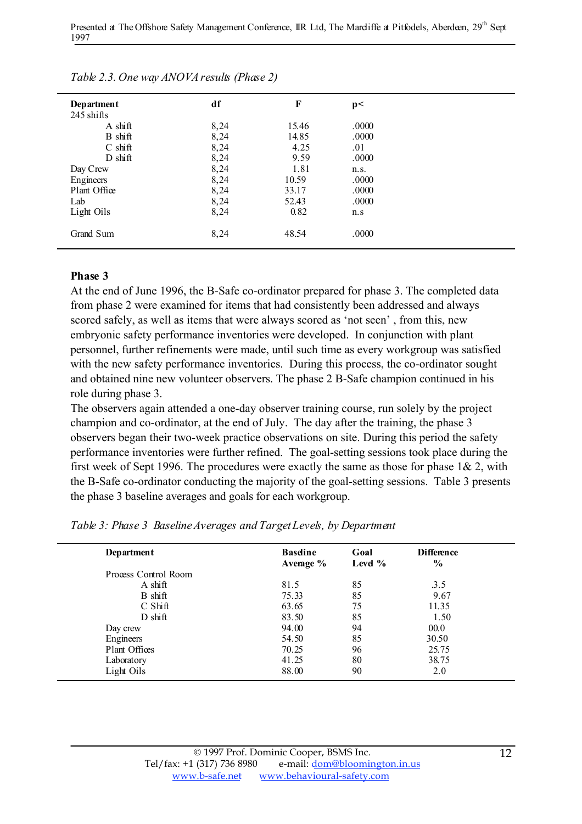| Department          | df   | F     | p<    |  |
|---------------------|------|-------|-------|--|
| 245 shifts          |      |       |       |  |
| A shift             | 8,24 | 15.46 | .0000 |  |
| B shift             | 8,24 | 14.85 | .0000 |  |
| $C \, \text{shift}$ | 8,24 | 4.25  | .01   |  |
| $D \, \text{shift}$ | 8,24 | 9.59  | .0000 |  |
| Day Crew            | 8,24 | 1.81  | n.s.  |  |
| Engineers           | 8,24 | 10.59 | .0000 |  |
| Plant Office        | 8,24 | 33.17 | .0000 |  |
| Lab                 | 8,24 | 52.43 | .0000 |  |
| Light Oils          | 8,24 | 0.82  | n.s   |  |
| Grand Sum           | 8,24 | 48.54 | .0000 |  |
|                     |      |       |       |  |

*Table 2.3. One way ANOVAresults (Phase 2)*

#### Phase 3

At the end of June 1996, the B-Safe co-ordinator prepared for phase 3. The completed data from phase 2 were examined for items that had consistently been addressed and always scored safely, as well as items that were always scored as 'not seen' , from this, new embryonic safety performance inventories were developed. In conjunction with plant personnel, further refinements were made, until such time as every workgroup was satisfied with the new safety performance inventories. During this process, the co-ordinator sought and obtained nine new volunteer observers. The phase 2 B-Safe champion continued in his role during phase 3.

The observers again attended a one-day observer training course, run solely by the project champion and co-ordinator, at the end of July. The day after the training, the phase 3 observers began their two-week practice observations on site. During this period the safety performance inventories were further refined. The goal-setting sessions took place during the first week of Sept 1996. The procedures were exactly the same as those for phase  $1\& 2$ , with the B-Safe co-ordinator conducting the majority of the goal-setting sessions. Table 3 presents the phase 3 baseline averages and goals for each workgroup.

| Department           | <b>Basdine</b><br>Average % | Goal<br>Level $%$ | <b>Difference</b><br>$\frac{0}{0}$ |  |
|----------------------|-----------------------------|-------------------|------------------------------------|--|
| Process Control Room |                             |                   |                                    |  |
| $A \, \text{shift}$  | 81.5                        | 85                | 3.5                                |  |
| B shift              | 75.33                       | 85                | 9.67                               |  |
| $C$ Shift            | 63.65                       | 75                | 11.35                              |  |
| $D \, \text{shift}$  | 83.50                       | 85                | 1.50                               |  |
| Day crew             | 94.00                       | 94                | 00.0                               |  |
| Engineers            | 54.50                       | 85                | 30.50                              |  |
| Plant Offices        | 70.25                       | 96                | 25.75                              |  |
| Laboratory           | 41.25                       | 80                | 38.75                              |  |
| Light Oils           | 88.00                       | 90                | 2.0                                |  |

*Table 3: Phase 3 BaselineAverages and TargetLevels, by Department*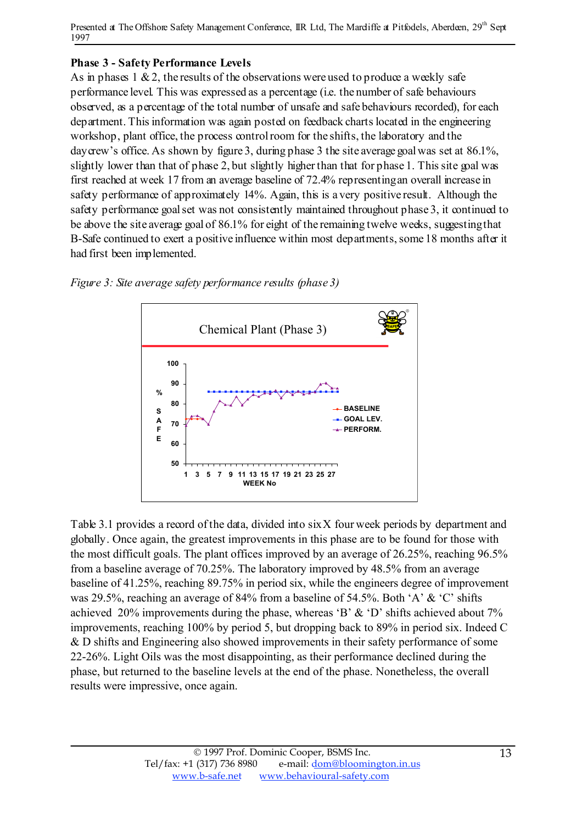## Phase 3 - Safety Performance Levels

As in phases  $1 \& 2$ , the results of the observations were used to produce a weekly safe performance level. This was expressed as a percentage (i.e. the number of safe behaviours observed, as a percentage of the total number of unsafe and safe behaviours recorded), for each department. This information was again posted on feedback charts located in the engineering workshop, plant office, the process controlroom for the shifts, the laboratory and the day crew's office. As shown by figure 3, during phase 3 the site average goal was set at 86.1%, slightly lower than that of phase 2, but slightly higher than that for phase 1. This site goal was first reached at week 17 from an average baseline of 72.4% representingan overall increase in safety performance of approximately 14%. Again, this is a very positive result. Although the safety performance goal set was not consistently maintained throughout phase 3, it continued to be above the site average goal of 86.1% for eight of the remaining twelve weeks, suggestingthat B-Safe continued to exert a positive influence within most departments, some 18 months after it had first been implemented.





Table 3.1 provides a record of the data, divided into sixX four week periods by department and globally. Once again, the greatest improvements in this phase are to be found for those with the most difficult goals. The plant offices improved by an average of 26.25%, reaching 96.5% from a baseline average of 70.25%. The laboratory improved by 48.5% from an average baseline of 41.25%, reaching 89.75% in period six, while the engineers degree of improvement was 29.5%, reaching an average of 84% from a baseline of 54.5%. Both 'A' & 'C' shifts achieved 20% improvements during the phase, whereas 'B' & 'D' shifts achieved about 7% improvements, reaching 100% by period 5, but dropping back to 89% in period six. Indeed C & D shifts and Engineering also showed improvements in their safety performance of some 22-26%. Light Oils was the most disappointing, as their performance declined during the phase, but returned to the baseline levels at the end of the phase. Nonetheless, the overall results were impressive, once again.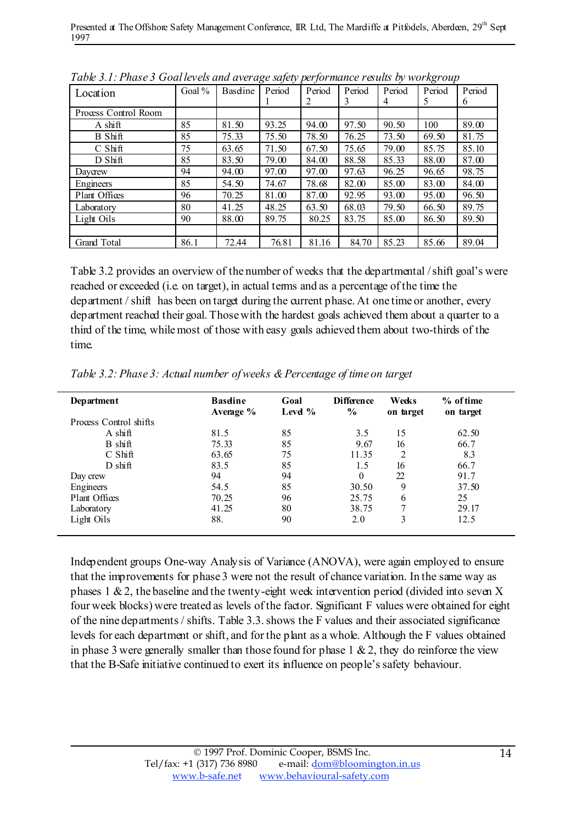| Tube 3.1.1 must 3 Source to ana archage superformance results by work to the<br>Location | Goal $%$ | Baseline | Period | Period<br>2 | Period<br>3 | Period<br>4 | Period<br>5 | Period<br>6 |
|------------------------------------------------------------------------------------------|----------|----------|--------|-------------|-------------|-------------|-------------|-------------|
| Process Control Room                                                                     |          |          |        |             |             |             |             |             |
| $A \, \text{shift}$                                                                      | 85       | 81.50    | 93.25  | 94.00       | 97.50       | 90.50       | 100         | 89.00       |
| B Shift                                                                                  | 85       | 75.33    | 75.50  | 78.50       | 76.25       | 73.50       | 69.50       | 81.75       |
| $C$ Shift                                                                                | 75       | 63.65    | 71.50  | 67.50       | 75.65       | 79.00       | 85.75       | 85.10       |
| D Shift                                                                                  | 85       | 83.50    | 79.00  | 84.00       | 88.58       | 85.33       | 88.00       | 87.00       |
| Daycrew                                                                                  | 94       | 94.00    | 97.00  | 97.00       | 97.63       | 96.25       | 96.65       | 98.75       |
| Engineers                                                                                | 85       | 54.50    | 74.67  | 78.68       | 82.00       | 85.00       | 83.00       | 84.00       |
| Plant Offices                                                                            | 96       | 70.25    | 81.00  | 87.00       | 92.95       | 93.00       | 95.00       | 96.50       |
| Laboratory                                                                               | 80       | 41.25    | 48.25  | 63.50       | 68.03       | 79.50       | 66.50       | 89.75       |
| Light Oils                                                                               | 90       | 88.00    | 89.75  | 80.25       | 83.75       | 85.00       | 86.50       | 89.50       |
|                                                                                          |          |          |        |             |             |             |             |             |
| Grand Total                                                                              | 86.1     | 72.44    | 76.81  | 81.16       | 84.70       | 85.23       | 85.66       | 89.04       |

*Table 3.1: Phase 3 Goallevels and average safety performance results by workgroup*

Table 3.2 provides an overview of the number of weeks that the departmental /shift goal's were reached or exceeded (i.e. on target), in actual terms and as a percentage of the time the department / shift has been on target during the current phase. At one time or another, every department reached their goal. Thosewith the hardest goals achieved them about a quarter to a third of the time, whilemost of those with easy goals achieved them about two-thirds of the time.

| Department             | <b>Basdine</b><br>Average % | Goal<br>Level $%$ | <b>Difference</b><br>$\frac{6}{9}$ | Weeks<br>on target | % of time<br>on target |
|------------------------|-----------------------------|-------------------|------------------------------------|--------------------|------------------------|
| Process Control shifts |                             |                   |                                    |                    |                        |
| $A \, \text{shift}$    | 81.5                        | 85                | 3.5                                | 15                 | 62.50                  |
| B shift                | 75.33                       | 85                | 9.67                               | 16                 | 66.7                   |
| C Shift                | 63.65                       | 75                | 11.35                              | 2                  | 8.3                    |
| $D \, \text{shift}$    | 83.5                        | 85                | 1.5                                | 16                 | 66.7                   |
| Day crew               | 94                          | 94                | $\theta$                           | 22                 | 91.7                   |
| Engineers              | 54.5                        | 85                | 30.50                              | 9                  | 37.50                  |
| Plant Offices          | 70.25                       | 96                | 25.75                              | 6                  | 25                     |
| Laboratory             | 41.25                       | 80                | 38.75                              | 7                  | 29.17                  |
| Light Oils             | 88.                         | 90                | 2.0                                | 3                  | 12.5                   |

*Table 3.2: Phase 3: Actual number ofweeks &Percentage of time on target*

Independent groups One-way Analysis of Variance (ANOVA), were again employed to ensure that the improvements for phase 3 were not the result of chance variation. In the same way as phases 1 &2, the baseline and the twenty-eight week intervention period (divided into seven X four week blocks) were treated as levels of the factor. Significant F values were obtained for eight of the nine departments/ shifts. Table 3.3.shows the F values and their associated significance levels for each department or shift, and for the plant as a whole. Although the F values obtained in phase 3 were generally smaller than those found for phase  $1 \& 2$ , they do reinforce the view that the B-Safe initiative continued to exert its influence on people'ssafety behaviour.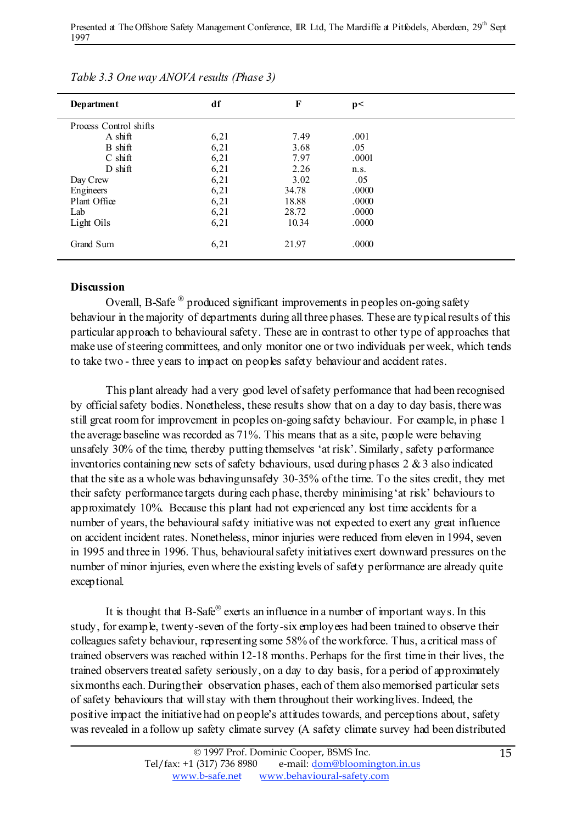| Department             | df   | F     | p<    |  |
|------------------------|------|-------|-------|--|
| Process Control shifts |      |       |       |  |
| A shift                | 6,21 | 7.49  | .001  |  |
| B shift                | 6,21 | 3.68  | .05   |  |
| $C \, \text{shift}$    | 6,21 | 7.97  | .0001 |  |
| $D \, \text{shift}$    | 6,21 | 2.26  | n.s.  |  |
| Day Crew               | 6,21 | 3.02  | .05   |  |
| Engineers              | 6,21 | 34.78 | .0000 |  |
| Plant Office           | 6,21 | 18.88 | .0000 |  |
| Lab                    | 6,21 | 28.72 | .0000 |  |
| Light Oils             | 6,21 | 10.34 | .0000 |  |
| Grand Sum              | 6,21 | 21.97 | .0000 |  |

*Table 3.3 Oneway ANOVA results (Phase 3)*

#### Discussion

Overall, B-Safe  $\mathcal{O}$  produced significant improvements in peoples on-going safety behaviour in the majority of departments during all three phases. These are typical results of this particular approach to behavioural safety. These are in contrast to other type of approaches that make use of steering committees, and only monitor one or two individuals per week, which tends to take two - three years to impact on peoples safety behaviour and accident rates.

This plant already had a very good level of safety performance that had been recognised by officialsafety bodies. Nonetheless, these results show that on a day to day basis, therewas still great roomfor improvement in peoples on-going safety behaviour. For example, in phase 1 the average baseline was recorded as 71%. This means that as a site, people were behaving unsafely 30% of the time, thereby putting themselves 'at risk'. Similarly, safety performance inventories containing new sets of safety behaviours, used during phases 2 &3 also indicated that the site as a wholewas behavingunsafely 30-35% of the time. To the sites credit, they met their safety performance targets during each phase, thereby minimising'at risk' behavioursto approximately 10%. Because this plant had not experienced any lost time accidents for a number of years, the behavioural safety initiativewas not expected to exert any great influence on accident incident rates. Nonetheless, minor injuries were reduced from eleven in 1994, seven in 1995 and three in 1996. Thus, behaviouralsafety initiatives exert downward pressures on the number of minor injuries, even where the existing levels of safety performance are already quite exceptional.

It is thought that  $B$ -Safe<sup>®</sup> exerts an influence in a number of important ways. In this study, for example, twenty-seven of the forty-six employees had been trained to observe their colleagues safety behaviour, representing some 58% of the workforce. Thus, a critical mass of trained observers was reached within 12-18 months. Perhaps for the first time in their lives, the trained observerstreated safety seriously, on a day to day basis, for a period of approximately sixmonths each. Duringtheir observation phases, each of them also memorised particular sets of safety behaviours that willstay with them throughout their workinglives. Indeed, the positive impact the initiative had on people's attitudes towards, and perceptions about, safety was revealed in a follow up safety climate survey (A safety climate survey had been distributed